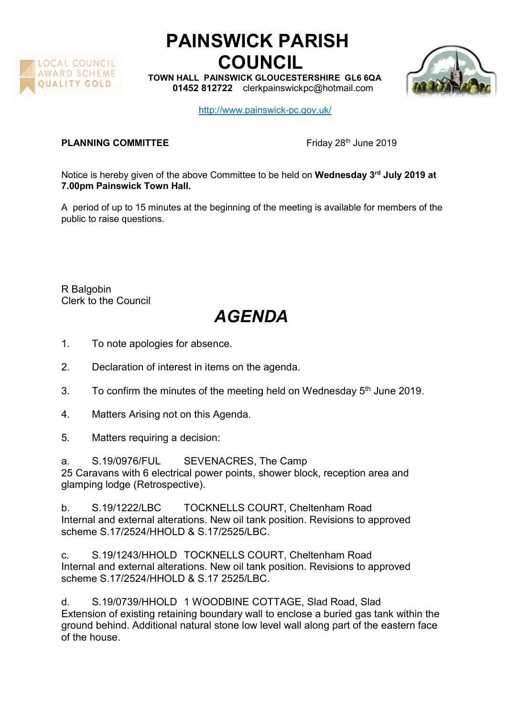

## PAINSWICK PARISH COUNCIL

TOWN HALL PAINSWICK GLOUCESTERSHIRE GL6 6QA 01452 812722 clerkpainswickpc@hotmail.com



http://www.painswick-pc.gov.uk/

## **PLANNING COMMITTEE** Friday 28<sup>th</sup> June 2019

Notice is hereby given of the above Committee to be held on Wednesday 3<sup>rd</sup> July 2019 at 7.00pm Painswick Town Hall.

A period of up to 15 minutes at the beginning of the meeting is available for members of the public to raise questions.

R Balgobin Clerk to the Council

## AGENDA

- 1. To note apologies for absence.
- 2. Declaration of interest in items on the agenda.
- 3. To confirm the minutes of the meeting held on Wednesday  $5<sup>th</sup>$  June 2019.
- 4. Matters Arising not on this Agenda.
- 5. Matters requiring a decision:

a. S.19/0976/FUL SEVENACRES, The Camp 25 Caravans with 6 electrical power points, shower block, reception area and glamping lodge (Retrospective).

b. S.19/1222/LBC TOCKNELLS COURT, Cheltenham Road Internal and external alterations. New oil tank position. Revisions to approved scheme S.17/2524/HHOLD & S.17/2525/LBC.

c. S.19/1243/HHOLD TOCKNELLS COURT, Cheltenham Road Internal and external alterations. New oil tank position. Revisions to approved scheme S.17/2524/HHOLD & S.17 2525/LBC.

d. S.19/0739/HHOLD 1 WOODBINE COTTAGE, Slad Road, Slad Extension of existing retaining boundary wall to enclose a buried gas tank within the ground behind. Additional natural stone low level wall along part of the eastern face of the house.